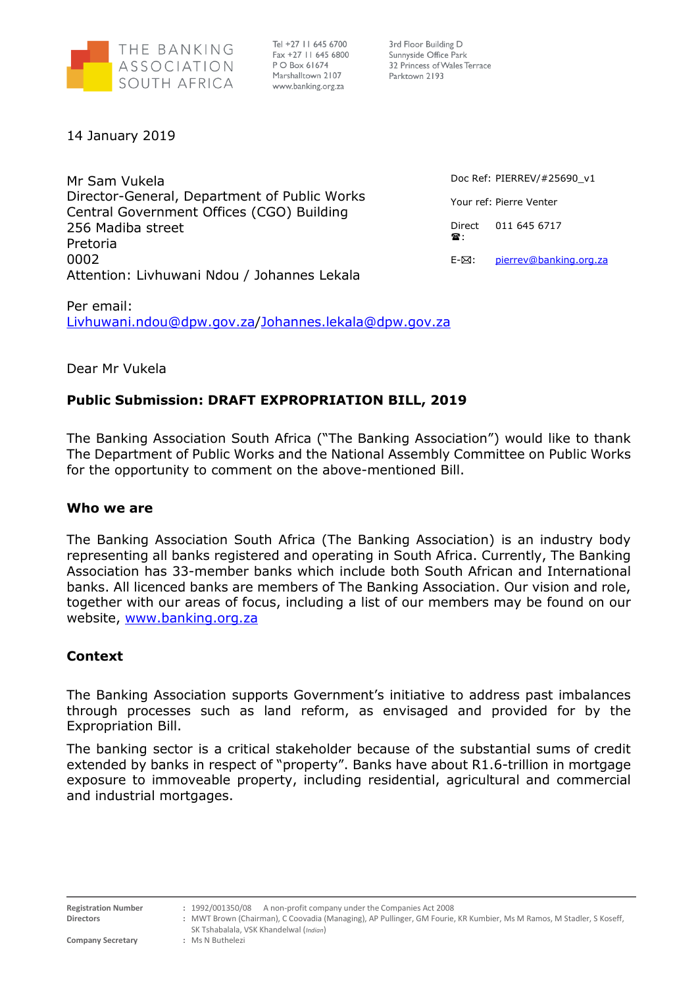

Tel +27 11 645 6700 Fax +27 11 645 6800 P O Box 61674 Marshalltown 2107 www.banking.org.za

3rd Floor Building D Sunnyside Office Park 32 Princess of Wales Terrace Parktown 2193

14 January 2019

Mr Sam Vukela Director-General, Department of Public Works Central Government Offices (CGO) Building 256 Madiba street Pretoria 0002 Attention: Livhuwani Ndou / Johannes Lekala

Doc Ref: PIERREV/#25690\_v1 Your ref: Pierre Venter Direct  $\mathbb{R}$ 011 645 6717 E- $\boxtimes$ : [pierrev@banking.org.za](mailto:pierrev@banking.org.za)

Per email: [Livhuwani.ndou@dpw.gov.za](mailto:Livhuwani.ndou@dpw.gov.za)[/Johannes.lekala@dpw.gov.za](mailto:Johannes.lekala@dpw.gov.za)

# Dear Mr Vukela

# **Public Submission: DRAFT EXPROPRIATION BILL, 2019**

The Banking Association South Africa ("The Banking Association") would like to thank The Department of Public Works and the National Assembly Committee on Public Works for the opportunity to comment on the above-mentioned Bill.

# **Who we are**

The Banking Association South Africa (The Banking Association) is an industry body representing all banks registered and operating in South Africa. Currently, The Banking Association has 33-member banks which include both South African and International banks. All licenced banks are members of The Banking Association. Our vision and role, together with our areas of focus, including a list of our members may be found on our website, [www.banking.org.za](http://www.banking.org.za/)

# **Context**

The Banking Association supports Government's initiative to address past imbalances through processes such as land reform, as envisaged and provided for by the Expropriation Bill.

The banking sector is a critical stakeholder because of the substantial sums of credit extended by banks in respect of "property". Banks have about R1.6-trillion in mortgage exposure to immoveable property, including residential, agricultural and commercial and industrial mortgages.

**Company Secretary** 

**Registration Number :** 1992/001350/08 A non-profit company under the Companies Act 2008

**Directors :** MWT Brown (Chairman), C Coovadia (Managing), AP Pullinger, GM Fourie, KR Kumbier, Ms M Ramos, M Stadler, S Koseff, SK Tshabalala, VSK Khandelwal (*Indian*)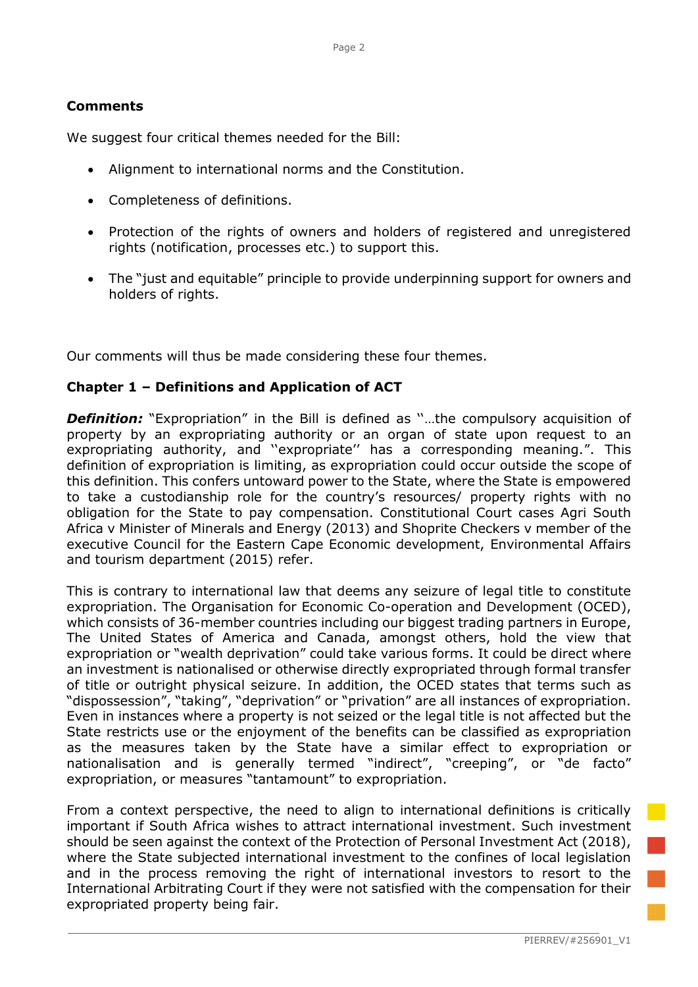# **Comments**

We suggest four critical themes needed for the Bill:

- Alignment to international norms and the Constitution.
- Completeness of definitions.
- Protection of the rights of owners and holders of registered and unregistered rights (notification, processes etc.) to support this.
- The "just and equitable" principle to provide underpinning support for owners and holders of rights.

Our comments will thus be made considering these four themes.

# **Chapter 1 – Definitions and Application of ACT**

**Definition:** "Expropriation" in the Bill is defined as "...the compulsory acquisition of property by an expropriating authority or an organ of state upon request to an expropriating authority, and ''expropriate'' has a corresponding meaning.". This definition of expropriation is limiting, as expropriation could occur outside the scope of this definition. This confers untoward power to the State, where the State is empowered to take a custodianship role for the country's resources/ property rights with no obligation for the State to pay compensation. Constitutional Court cases Agri South Africa v Minister of Minerals and Energy (2013) and Shoprite Checkers v member of the executive Council for the Eastern Cape Economic development, Environmental Affairs and tourism department (2015) refer.

This is contrary to international law that deems any seizure of legal title to constitute expropriation. The Organisation for Economic Co-operation and Development (OCED), which consists of 36-member countries including our biggest trading partners in Europe, The United States of America and Canada, amongst others, hold the view that expropriation or "wealth deprivation" could take various forms. It could be direct where an investment is nationalised or otherwise directly expropriated through formal transfer of title or outright physical seizure. In addition, the OCED states that terms such as "dispossession", "taking", "deprivation" or "privation" are all instances of expropriation. Even in instances where a property is not seized or the legal title is not affected but the State restricts use or the enjoyment of the benefits can be classified as expropriation as the measures taken by the State have a similar effect to expropriation or nationalisation and is generally termed "indirect", "creeping", or "de facto" expropriation, or measures "tantamount" to expropriation.

From a context perspective, the need to align to international definitions is critically important if South Africa wishes to attract international investment. Such investment should be seen against the context of the Protection of Personal Investment Act (2018), where the State subjected international investment to the confines of local legislation and in the process removing the right of international investors to resort to the International Arbitrating Court if they were not satisfied with the compensation for their expropriated property being fair.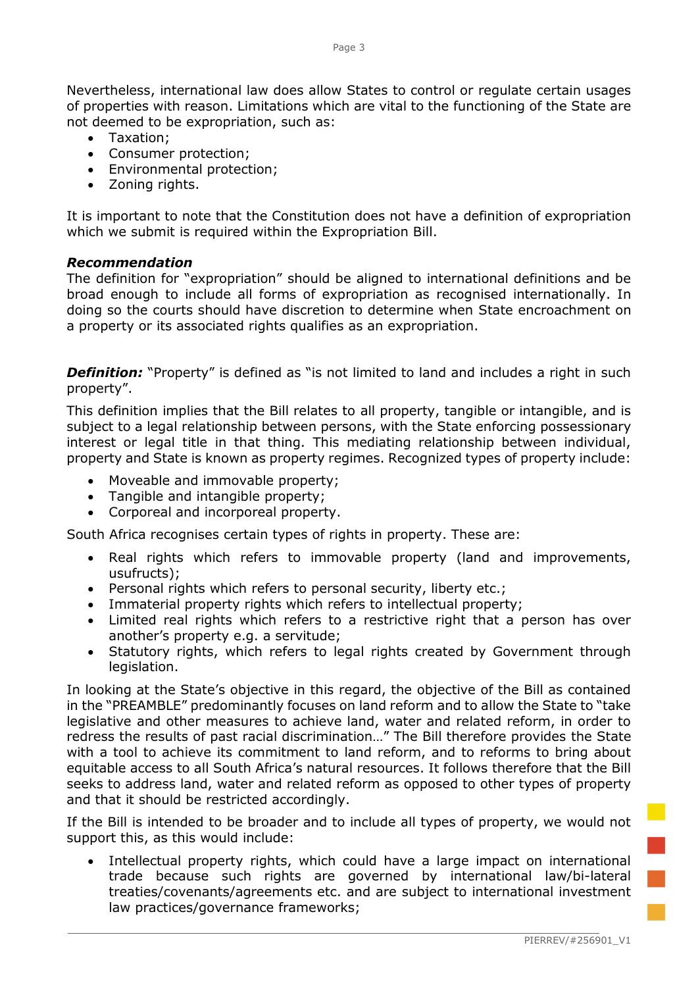Nevertheless, international law does allow States to control or regulate certain usages of properties with reason. Limitations which are vital to the functioning of the State are not deemed to be expropriation, such as:

- Taxation;
- Consumer protection;
- Environmental protection;
- Zoning rights.

It is important to note that the Constitution does not have a definition of expropriation which we submit is required within the Expropriation Bill.

#### *Recommendation*

The definition for "expropriation" should be aligned to international definitions and be broad enough to include all forms of expropriation as recognised internationally. In doing so the courts should have discretion to determine when State encroachment on a property or its associated rights qualifies as an expropriation.

**Definition:** "Property" is defined as "is not limited to land and includes a right in such property".

This definition implies that the Bill relates to all property, tangible or intangible, and is subject to a legal relationship between persons, with the State enforcing possessionary interest or legal title in that thing. This mediating relationship between individual, property and State is known as property regimes. Recognized types of property include:

- Moveable and immovable property;
- Tangible and intangible property;
- Corporeal and incorporeal property.

South Africa recognises certain types of rights in property. These are:

- Real rights which refers to immovable property (land and improvements, usufructs);
- Personal rights which refers to personal security, liberty etc.;
- Immaterial property rights which refers to intellectual property;
- Limited real rights which refers to a restrictive right that a person has over another's property e.g. a servitude;
- Statutory rights, which refers to legal rights created by Government through legislation.

In looking at the State's objective in this regard, the objective of the Bill as contained in the "PREAMBLE" predominantly focuses on land reform and to allow the State to "take legislative and other measures to achieve land, water and related reform, in order to redress the results of past racial discrimination…" The Bill therefore provides the State with a tool to achieve its commitment to land reform, and to reforms to bring about equitable access to all South Africa's natural resources. It follows therefore that the Bill seeks to address land, water and related reform as opposed to other types of property and that it should be restricted accordingly.

If the Bill is intended to be broader and to include all types of property, we would not support this, as this would include:

• Intellectual property rights, which could have a large impact on international trade because such rights are governed by international law/bi-lateral treaties/covenants/agreements etc. and are subject to international investment law practices/governance frameworks;

T.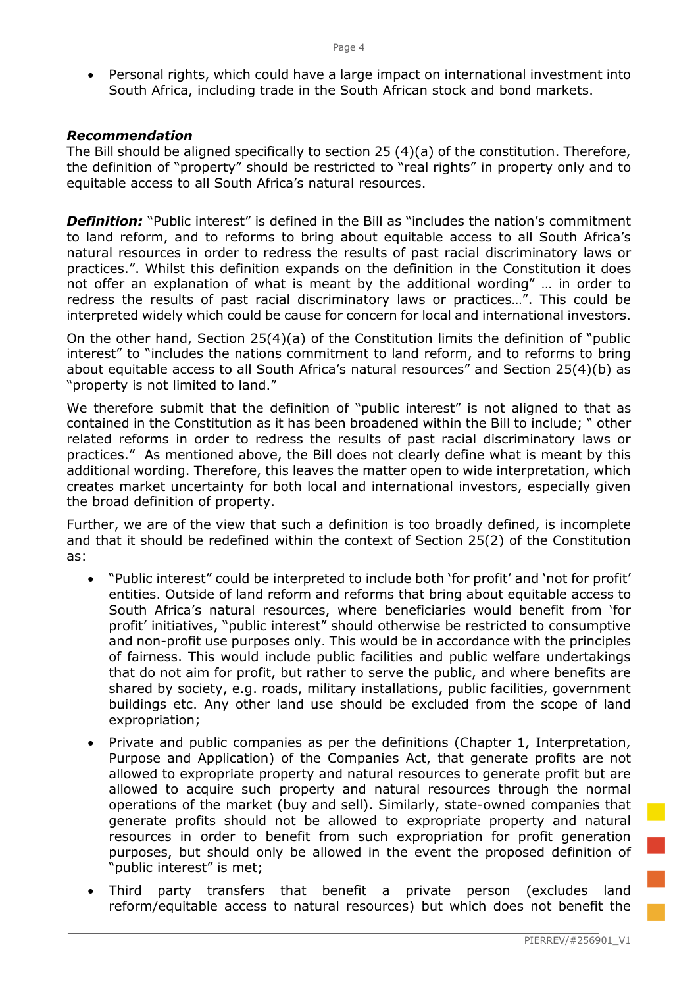• Personal rights, which could have a large impact on international investment into South Africa, including trade in the South African stock and bond markets.

### *Recommendation*

The Bill should be aligned specifically to section 25 (4)(a) of the constitution. Therefore, the definition of "property" should be restricted to "real rights" in property only and to equitable access to all South Africa's natural resources.

**Definition:** "Public interest" is defined in the Bill as "includes the nation's commitment to land reform, and to reforms to bring about equitable access to all South Africa's natural resources in order to redress the results of past racial discriminatory laws or practices.". Whilst this definition expands on the definition in the Constitution it does not offer an explanation of what is meant by the additional wording" … in order to redress the results of past racial discriminatory laws or practices…". This could be interpreted widely which could be cause for concern for local and international investors.

On the other hand, Section 25(4)(a) of the Constitution limits the definition of "public interest" to "includes the nations commitment to land reform, and to reforms to bring about equitable access to all South Africa's natural resources" and Section 25(4)(b) as "property is not limited to land."

We therefore submit that the definition of "public interest" is not aligned to that as contained in the Constitution as it has been broadened within the Bill to include; " other related reforms in order to redress the results of past racial discriminatory laws or practices." As mentioned above, the Bill does not clearly define what is meant by this additional wording. Therefore, this leaves the matter open to wide interpretation, which creates market uncertainty for both local and international investors, especially given the broad definition of property.

Further, we are of the view that such a definition is too broadly defined, is incomplete and that it should be redefined within the context of Section 25(2) of the Constitution as:

- "Public interest" could be interpreted to include both 'for profit' and 'not for profit' entities. Outside of land reform and reforms that bring about equitable access to South Africa's natural resources, where beneficiaries would benefit from 'for profit' initiatives, "public interest" should otherwise be restricted to consumptive and non-profit use purposes only. This would be in accordance with the principles of fairness. This would include public facilities and public welfare undertakings that do not aim for profit, but rather to serve the public, and where benefits are shared by society, e.g. roads, military installations, public facilities, government buildings etc. Any other land use should be excluded from the scope of land expropriation;
- Private and public companies as per the definitions (Chapter 1, Interpretation, Purpose and Application) of the Companies Act, that generate profits are not allowed to expropriate property and natural resources to generate profit but are allowed to acquire such property and natural resources through the normal operations of the market (buy and sell). Similarly, state-owned companies that generate profits should not be allowed to expropriate property and natural resources in order to benefit from such expropriation for profit generation purposes, but should only be allowed in the event the proposed definition of "public interest" is met;
- Third party transfers that benefit a private person (excludes land reform/equitable access to natural resources) but which does not benefit the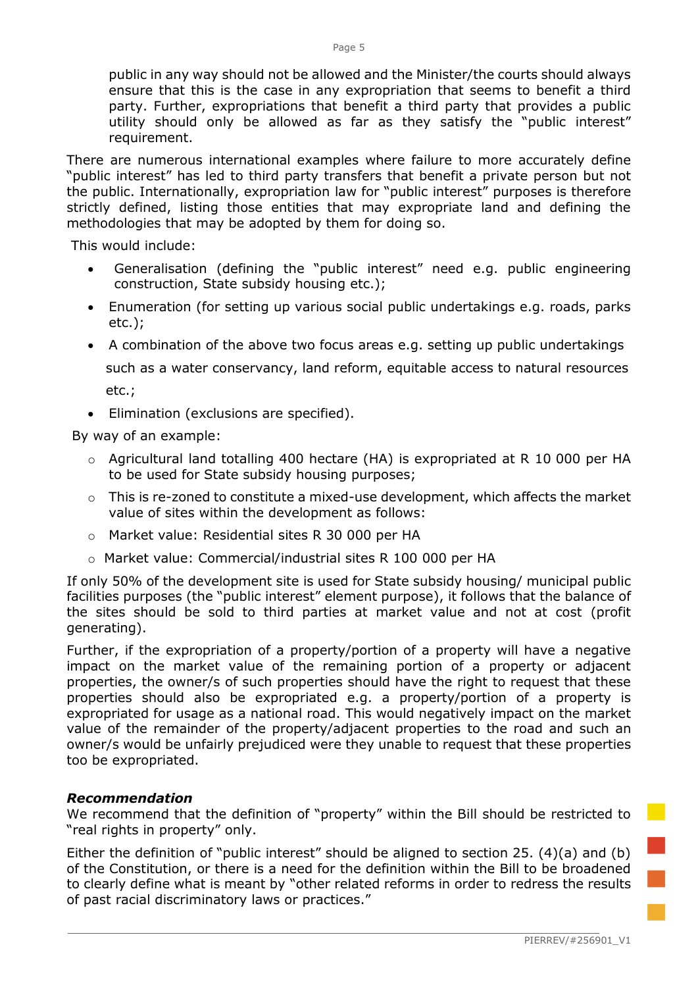public in any way should not be allowed and the Minister/the courts should always ensure that this is the case in any expropriation that seems to benefit a third party. Further, expropriations that benefit a third party that provides a public utility should only be allowed as far as they satisfy the "public interest" requirement.

There are numerous international examples where failure to more accurately define "public interest" has led to third party transfers that benefit a private person but not the public. Internationally, expropriation law for "public interest" purposes is therefore strictly defined, listing those entities that may expropriate land and defining the methodologies that may be adopted by them for doing so.

This would include:

- Generalisation (defining the "public interest" need e.g. public engineering construction, State subsidy housing etc.);
- Enumeration (for setting up various social public undertakings e.g. roads, parks etc.);
- A combination of the above two focus areas e.g. setting up public undertakings such as a water conservancy, land reform, equitable access to natural resources

etc.;

• Elimination (exclusions are specified).

By way of an example:

- o Agricultural land totalling 400 hectare (HA) is expropriated at R 10 000 per HA to be used for State subsidy housing purposes;
- $\circ$  This is re-zoned to constitute a mixed-use development, which affects the market value of sites within the development as follows:
- o Market value: Residential sites R 30 000 per HA
- o Market value: Commercial/industrial sites R 100 000 per HA

If only 50% of the development site is used for State subsidy housing/ municipal public facilities purposes (the "public interest" element purpose), it follows that the balance of the sites should be sold to third parties at market value and not at cost (profit generating).

Further, if the expropriation of a property/portion of a property will have a negative impact on the market value of the remaining portion of a property or adjacent properties, the owner/s of such properties should have the right to request that these properties should also be expropriated e.g. a property/portion of a property is expropriated for usage as a national road. This would negatively impact on the market value of the remainder of the property/adjacent properties to the road and such an owner/s would be unfairly prejudiced were they unable to request that these properties too be expropriated.

# *Recommendation*

We recommend that the definition of "property" within the Bill should be restricted to "real rights in property" only.

Either the definition of "public interest" should be aligned to section 25. (4)(a) and (b) of the Constitution, or there is a need for the definition within the Bill to be broadened to clearly define what is meant by "other related reforms in order to redress the results of past racial discriminatory laws or practices."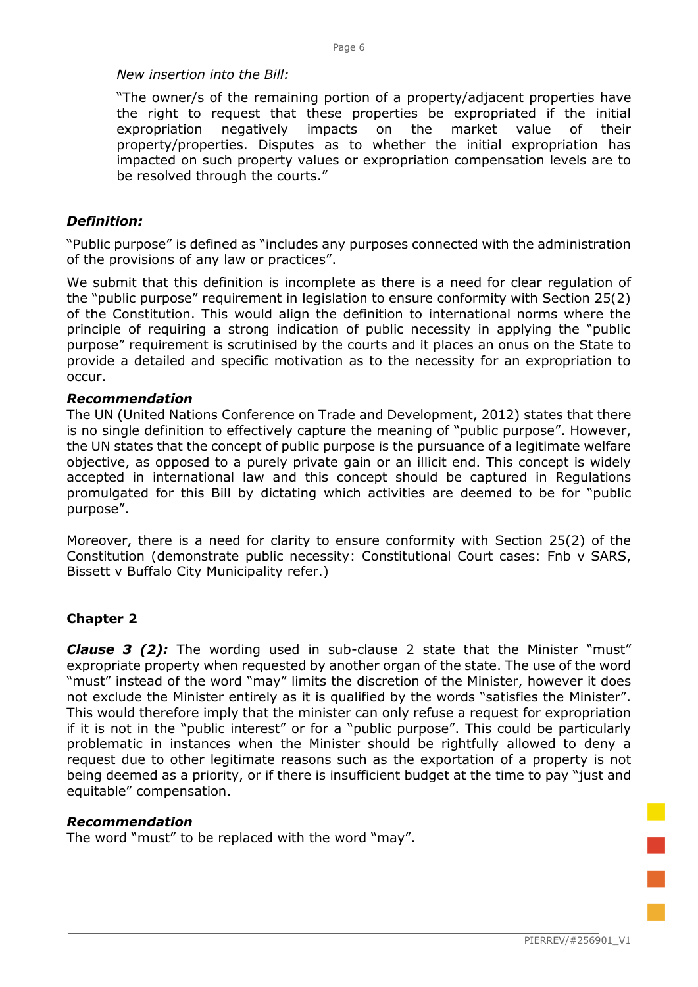#### *New insertion into the Bill:*

"The owner/s of the remaining portion of a property/adjacent properties have the right to request that these properties be expropriated if the initial expropriation negatively impacts on the market value of their property/properties. Disputes as to whether the initial expropriation has impacted on such property values or expropriation compensation levels are to be resolved through the courts."

# *Definition:*

"Public purpose" is defined as "includes any purposes connected with the administration of the provisions of any law or practices".

We submit that this definition is incomplete as there is a need for clear regulation of the "public purpose" requirement in legislation to ensure conformity with Section 25(2) of the Constitution. This would align the definition to international norms where the principle of requiring a strong indication of public necessity in applying the "public purpose" requirement is scrutinised by the courts and it places an onus on the State to provide a detailed and specific motivation as to the necessity for an expropriation to occur.

### *Recommendation*

The UN (United Nations Conference on Trade and Development, 2012) states that there is no single definition to effectively capture the meaning of "public purpose". However, the UN states that the concept of public purpose is the pursuance of a legitimate welfare objective, as opposed to a purely private gain or an illicit end. This concept is widely accepted in international law and this concept should be captured in Regulations promulgated for this Bill by dictating which activities are deemed to be for "public purpose".

Moreover, there is a need for clarity to ensure conformity with Section 25(2) of the Constitution (demonstrate public necessity: Constitutional Court cases: Fnb v SARS, Bissett v Buffalo City Municipality refer.)

# **Chapter 2**

*Clause 3 (2):* The wording used in sub-clause 2 state that the Minister "must" expropriate property when requested by another organ of the state. The use of the word "must" instead of the word "may" limits the discretion of the Minister, however it does not exclude the Minister entirely as it is qualified by the words "satisfies the Minister". This would therefore imply that the minister can only refuse a request for expropriation if it is not in the "public interest" or for a "public purpose". This could be particularly problematic in instances when the Minister should be rightfully allowed to deny a request due to other legitimate reasons such as the exportation of a property is not being deemed as a priority, or if there is insufficient budget at the time to pay "just and equitable" compensation.

#### *Recommendation*

The word "must" to be replaced with the word "may".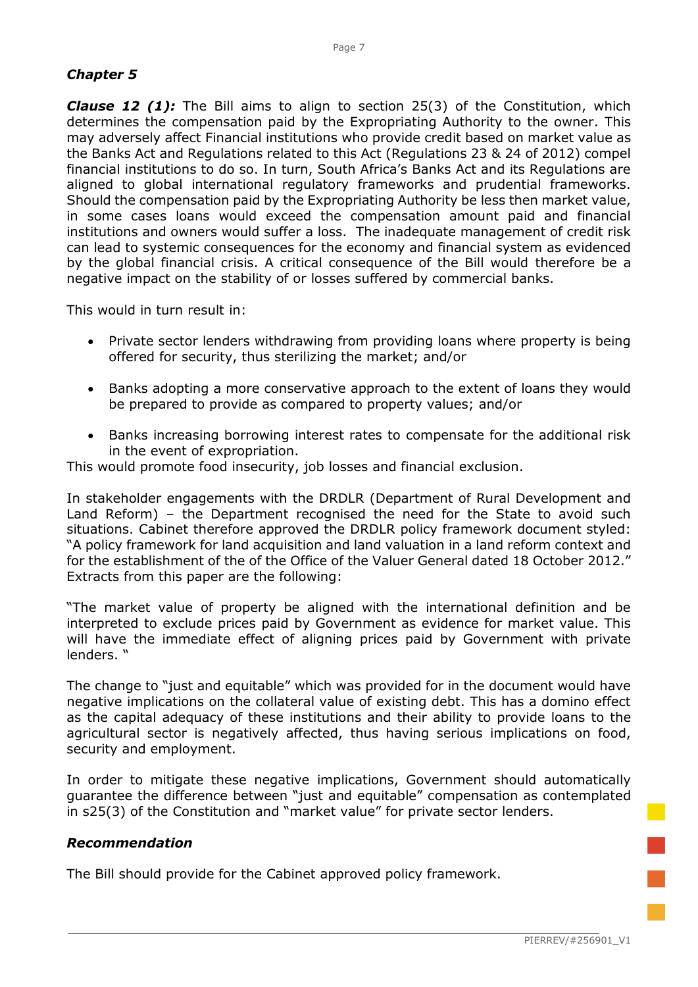# *Chapter 5*

**Clause 12 (1):** The Bill aims to align to section 25(3) of the Constitution, which determines the compensation paid by the Expropriating Authority to the owner. This may adversely affect Financial institutions who provide credit based on market value as the Banks Act and Regulations related to this Act (Regulations 23 & 24 of 2012) compel financial institutions to do so. In turn, South Africa's Banks Act and its Regulations are aligned to global international regulatory frameworks and prudential frameworks. Should the compensation paid by the Expropriating Authority be less then market value, in some cases loans would exceed the compensation amount paid and financial institutions and owners would suffer a loss. The inadequate management of credit risk can lead to systemic consequences for the economy and financial system as evidenced by the global financial crisis. A critical consequence of the Bill would therefore be a negative impact on the stability of or losses suffered by commercial banks.

This would in turn result in:

- Private sector lenders withdrawing from providing loans where property is being offered for security, thus sterilizing the market; and/or
- Banks adopting a more conservative approach to the extent of loans they would be prepared to provide as compared to property values; and/or
- Banks increasing borrowing interest rates to compensate for the additional risk in the event of expropriation.

This would promote food insecurity, job losses and financial exclusion.

In stakeholder engagements with the DRDLR (Department of Rural Development and Land Reform) – the Department recognised the need for the State to avoid such situations. Cabinet therefore approved the DRDLR policy framework document styled: "A policy framework for land acquisition and land valuation in a land reform context and for the establishment of the of the Office of the Valuer General dated 18 October 2012." Extracts from this paper are the following:

"The market value of property be aligned with the international definition and be interpreted to exclude prices paid by Government as evidence for market value. This will have the immediate effect of aligning prices paid by Government with private lenders. "

The change to "just and equitable" which was provided for in the document would have negative implications on the collateral value of existing debt. This has a domino effect as the capital adequacy of these institutions and their ability to provide loans to the agricultural sector is negatively affected, thus having serious implications on food, security and employment.

In order to mitigate these negative implications, Government should automatically guarantee the difference between "just and equitable" compensation as contemplated in s25(3) of the Constitution and "market value" for private sector lenders.

# *Recommendation*

The Bill should provide for the Cabinet approved policy framework.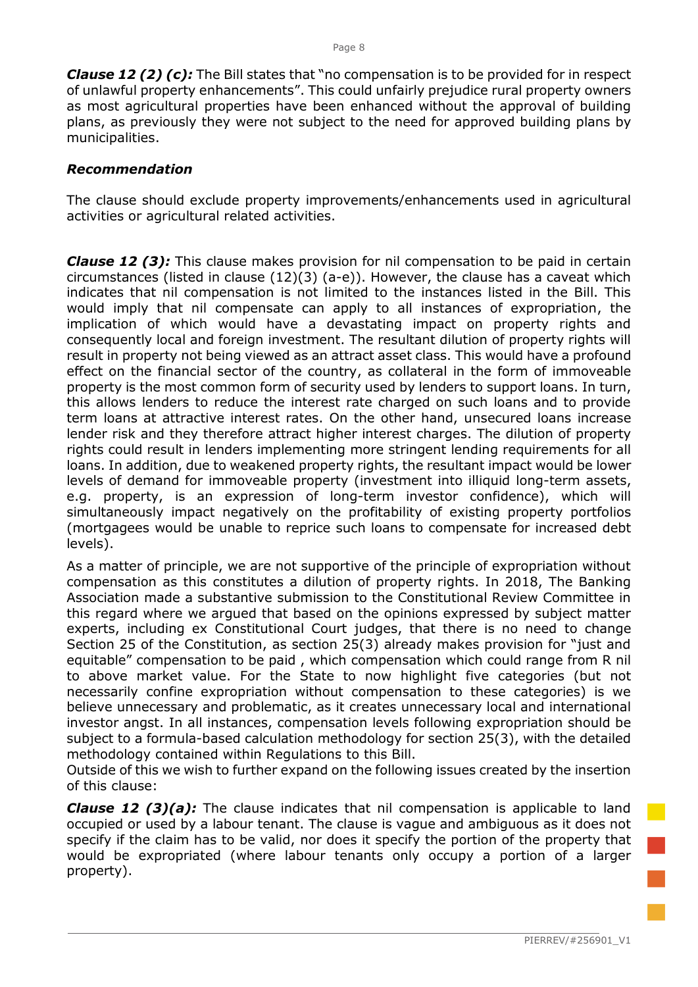*Clause 12 (2) (c):* The Bill states that "no compensation is to be provided for in respect of unlawful property enhancements". This could unfairly prejudice rural property owners as most agricultural properties have been enhanced without the approval of building plans, as previously they were not subject to the need for approved building plans by municipalities.

### *Recommendation*

The clause should exclude property improvements/enhancements used in agricultural activities or agricultural related activities.

*Clause 12 (3):* This clause makes provision for nil compensation to be paid in certain circumstances (listed in clause (12)(3) (a-e)). However, the clause has a caveat which indicates that nil compensation is not limited to the instances listed in the Bill. This would imply that nil compensate can apply to all instances of expropriation, the implication of which would have a devastating impact on property rights and consequently local and foreign investment. The resultant dilution of property rights will result in property not being viewed as an attract asset class. This would have a profound effect on the financial sector of the country, as collateral in the form of immoveable property is the most common form of security used by lenders to support loans. In turn, this allows lenders to reduce the interest rate charged on such loans and to provide term loans at attractive interest rates. On the other hand, unsecured loans increase lender risk and they therefore attract higher interest charges. The dilution of property rights could result in lenders implementing more stringent lending requirements for all loans. In addition, due to weakened property rights, the resultant impact would be lower levels of demand for immoveable property (investment into illiquid long-term assets, e.g. property, is an expression of long-term investor confidence), which will simultaneously impact negatively on the profitability of existing property portfolios (mortgagees would be unable to reprice such loans to compensate for increased debt levels).

As a matter of principle, we are not supportive of the principle of expropriation without compensation as this constitutes a dilution of property rights. In 2018, The Banking Association made a substantive submission to the Constitutional Review Committee in this regard where we argued that based on the opinions expressed by subject matter experts, including ex Constitutional Court judges, that there is no need to change Section 25 of the Constitution, as section 25(3) already makes provision for "just and equitable" compensation to be paid , which compensation which could range from R nil to above market value. For the State to now highlight five categories (but not necessarily confine expropriation without compensation to these categories) is we believe unnecessary and problematic, as it creates unnecessary local and international investor angst. In all instances, compensation levels following expropriation should be subject to a formula-based calculation methodology for section 25(3), with the detailed methodology contained within Regulations to this Bill.

Outside of this we wish to further expand on the following issues created by the insertion of this clause:

*Clause 12 (3)(a):* The clause indicates that nil compensation is applicable to land occupied or used by a labour tenant. The clause is vague and ambiguous as it does not specify if the claim has to be valid, nor does it specify the portion of the property that would be expropriated (where labour tenants only occupy a portion of a larger property).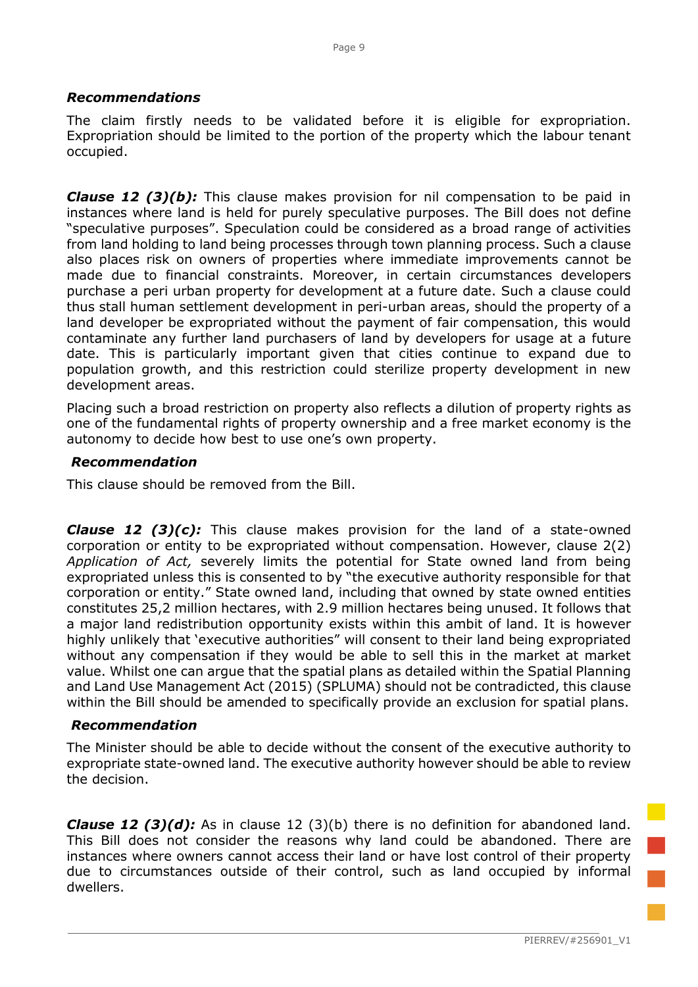### *Recommendations*

The claim firstly needs to be validated before it is eligible for expropriation. Expropriation should be limited to the portion of the property which the labour tenant occupied.

*Clause 12 (3)(b):* This clause makes provision for nil compensation to be paid in instances where land is held for purely speculative purposes. The Bill does not define "speculative purposes". Speculation could be considered as a broad range of activities from land holding to land being processes through town planning process. Such a clause also places risk on owners of properties where immediate improvements cannot be made due to financial constraints. Moreover, in certain circumstances developers purchase a peri urban property for development at a future date. Such a clause could thus stall human settlement development in peri-urban areas, should the property of a land developer be expropriated without the payment of fair compensation, this would contaminate any further land purchasers of land by developers for usage at a future date. This is particularly important given that cities continue to expand due to population growth, and this restriction could sterilize property development in new development areas.

Placing such a broad restriction on property also reflects a dilution of property rights as one of the fundamental rights of property ownership and a free market economy is the autonomy to decide how best to use one's own property.

### *Recommendation*

This clause should be removed from the Bill.

*Clause 12 (3)(c):* This clause makes provision for the land of a state-owned corporation or entity to be expropriated without compensation. However, clause 2(2) *Application of Act,* severely limits the potential for State owned land from being expropriated unless this is consented to by "the executive authority responsible for that corporation or entity." State owned land, including that owned by state owned entities constitutes 25,2 million hectares, with 2.9 million hectares being unused. It follows that a major land redistribution opportunity exists within this ambit of land. It is however highly unlikely that 'executive authorities" will consent to their land being expropriated without any compensation if they would be able to sell this in the market at market value. Whilst one can argue that the spatial plans as detailed within the Spatial Planning and Land Use Management Act (2015) (SPLUMA) should not be contradicted, this clause within the Bill should be amended to specifically provide an exclusion for spatial plans.

#### *Recommendation*

The Minister should be able to decide without the consent of the executive authority to expropriate state-owned land. The executive authority however should be able to review the decision.

*Clause 12 (3)(d):* As in clause 12 (3)(b) there is no definition for abandoned land. This Bill does not consider the reasons why land could be abandoned. There are instances where owners cannot access their land or have lost control of their property due to circumstances outside of their control, such as land occupied by informal dwellers.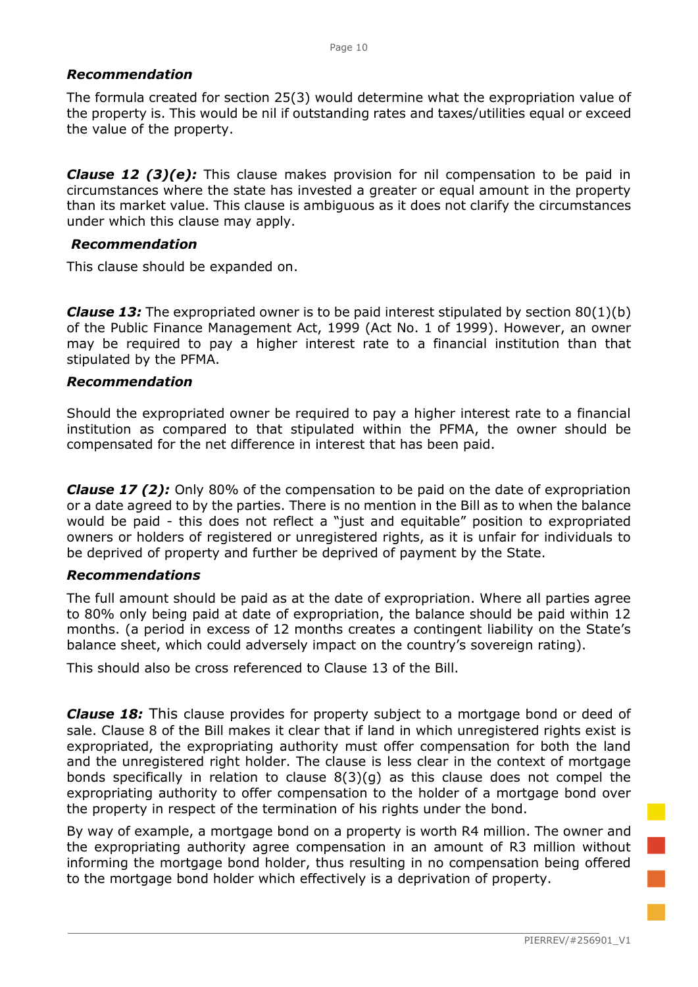# *Recommendation*

The formula created for section 25(3) would determine what the expropriation value of the property is. This would be nil if outstanding rates and taxes/utilities equal or exceed the value of the property.

*Clause 12 (3)(e):* This clause makes provision for nil compensation to be paid in circumstances where the state has invested a greater or equal amount in the property than its market value. This clause is ambiguous as it does not clarify the circumstances under which this clause may apply.

### *Recommendation*

This clause should be expanded on.

*Clause 13:* The expropriated owner is to be paid interest stipulated by section 80(1)(b) of the Public Finance Management Act, 1999 (Act No. 1 of 1999). However, an owner may be required to pay a higher interest rate to a financial institution than that stipulated by the PFMA.

### *Recommendation*

Should the expropriated owner be required to pay a higher interest rate to a financial institution as compared to that stipulated within the PFMA, the owner should be compensated for the net difference in interest that has been paid.

*Clause 17 (2):* Only 80% of the compensation to be paid on the date of expropriation or a date agreed to by the parties. There is no mention in the Bill as to when the balance would be paid - this does not reflect a "just and equitable" position to expropriated owners or holders of registered or unregistered rights, as it is unfair for individuals to be deprived of property and further be deprived of payment by the State.

# *Recommendations*

The full amount should be paid as at the date of expropriation. Where all parties agree to 80% only being paid at date of expropriation, the balance should be paid within 12 months. (a period in excess of 12 months creates a contingent liability on the State's balance sheet, which could adversely impact on the country's sovereign rating).

This should also be cross referenced to Clause 13 of the Bill.

*Clause 18:* This clause provides for property subject to a mortgage bond or deed of sale. Clause 8 of the Bill makes it clear that if land in which unregistered rights exist is expropriated, the expropriating authority must offer compensation for both the land and the unregistered right holder. The clause is less clear in the context of mortgage bonds specifically in relation to clause 8(3)(g) as this clause does not compel the expropriating authority to offer compensation to the holder of a mortgage bond over the property in respect of the termination of his rights under the bond.

By way of example, a mortgage bond on a property is worth R4 million. The owner and the expropriating authority agree compensation in an amount of R3 million without informing the mortgage bond holder, thus resulting in no compensation being offered to the mortgage bond holder which effectively is a deprivation of property.

i<br>T